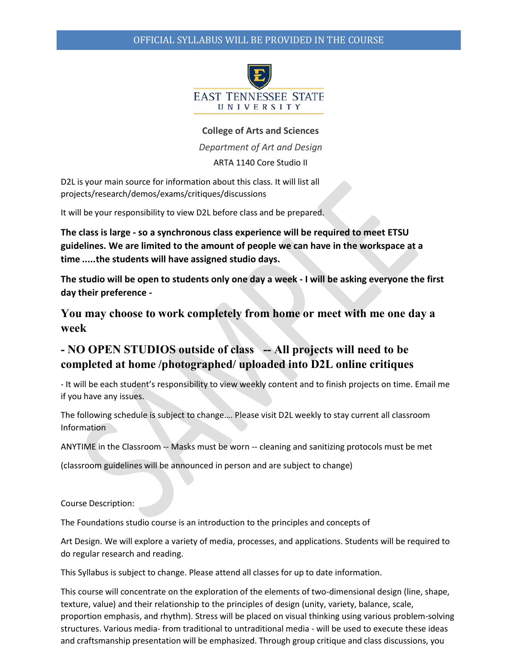

#### **College of Arts and Sciences**

*Department of Art and Design*

ARTA 1140 Core Studio II

D2L is your main source for information about this class. It will list all projects/research/demos/exams/critiques/discussions

It will be your responsibility to view D2L before class and be prepared.

**The class is large - so a synchronous class experience will be required to meet ETSU guidelines. We are limited to the amount of people we can have in the workspace at a time .....the students will have assigned studio days.**

**The studio will be open to students only one day a week - I will be asking everyone the first day their preference -**

**You may choose to work completely from home or meet with me one day a week**

# **- NO OPEN STUDIOS outside of class -- All projects will need to be completed at home /photographed/ uploaded into D2L online critiques**

- It will be each student's responsibility to view weekly content and to finish projects on time. Email me if you have any issues.

The following schedule is subject to change…. Please visit D2L weekly to stay current all classroom Information

ANYTIME in the Classroom -- Masks must be worn -- cleaning and sanitizing protocols must be met

(classroom guidelines will be announced in person and are subject to change)

Course Description:

The Foundations studio course is an introduction to the principles and concepts of

Art Design. We will explore a variety of media, processes, and applications. Students will be required to do regular research and reading.

This Syllabus is subject to change. Please attend all classes for up to date information.

This course will concentrate on the exploration of the elements of two-dimensional design (line, shape, texture, value) and their relationship to the principles of design (unity, variety, balance, scale, proportion emphasis, and rhythm). Stress will be placed on visual thinking using various problem-solving structures. Various media- from traditional to untraditional media - will be used to execute these ideas and craftsmanship presentation will be emphasized. Through group critique and class discussions, you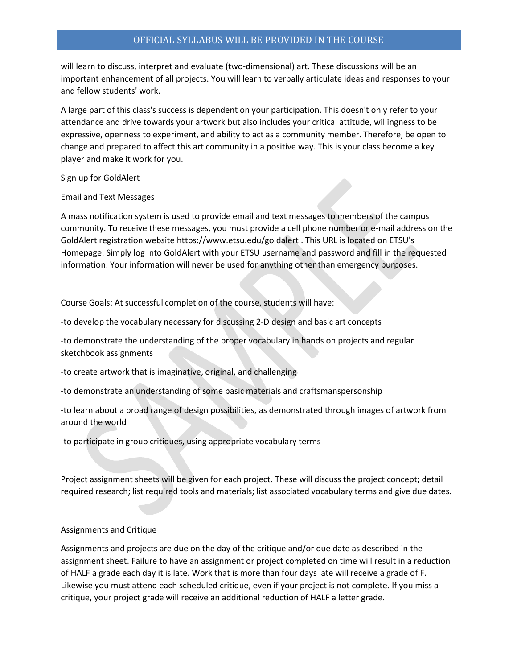will learn to discuss, interpret and evaluate (two-dimensional) art. These discussions will be an important enhancement of all projects. You will learn to verbally articulate ideas and responses to your and fellow students' work.

A large part of this class's success is dependent on your participation. This doesn't only refer to your attendance and drive towards your artwork but also includes your critical attitude, willingness to be expressive, openness to experiment, and ability to act as a community member. Therefore, be open to change and prepared to affect this art community in a positive way. This is your class become a key player and make it work for you.

Sign up for GoldAlert

Email and Text Messages

A mass notification system is used to provide email and text messages to members of the campus community. To receive these messages, you must provide a cell phone number or e-mail address on the GoldAlert registration website https:/[/www.etsu.edu/goldalert .](http://www.etsu.edu/goldalert) This URL is located on ETSU's Homepage. Simply log into GoldAlert with your ETSU username and password and fill in the requested information. Your information will never be used for anything other than emergency purposes.

Course Goals: At successful completion of the course, students will have:

-to develop the vocabulary necessary for discussing 2-D design and basic art concepts

-to demonstrate the understanding of the proper vocabulary in hands on projects and regular sketchbook assignments

-to create artwork that is imaginative, original, and challenging

-to demonstrate an understanding of some basic materials and craftsmanspersonship

-to learn about a broad range of design possibilities, as demonstrated through images of artwork from around the world

-to participate in group critiques, using appropriate vocabulary terms

Project assignment sheets will be given for each project. These will discuss the project concept; detail required research; list required tools and materials; list associated vocabulary terms and give due dates.

#### Assignments and Critique

Assignments and projects are due on the day of the critique and/or due date as described in the assignment sheet. Failure to have an assignment or project completed on time will result in a reduction of HALF a grade each day it is late. Work that is more than four days late will receive a grade of F. Likewise you must attend each scheduled critique, even if your project is not complete. If you miss a critique, your project grade will receive an additional reduction of HALF a letter grade.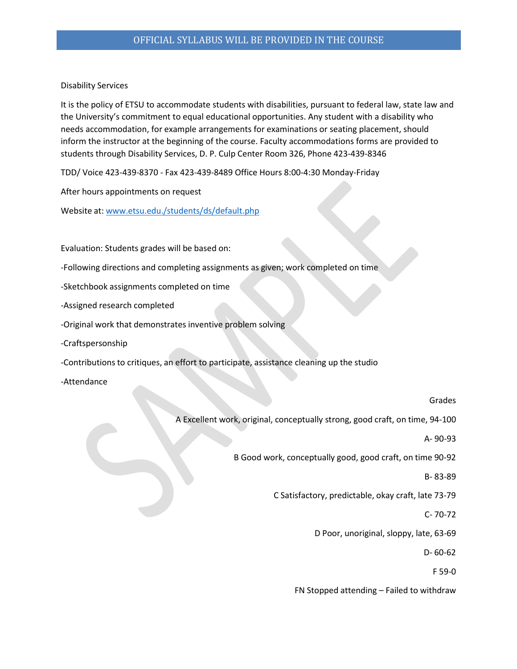Disability Services

It is the policy of ETSU to accommodate students with disabilities, pursuant to federal law, state law and the University's commitment to equal educational opportunities. Any student with a disability who needs accommodation, for example arrangements for examinations or seating placement, should inform the instructor at the beginning of the course. Faculty accommodations forms are provided to students through Disability Services, D. P. Culp Center Room 326, Phone 423-439-8346

TDD/ Voice 423-439-8370 - Fax 423-439-8489 Office Hours 8:00-4:30 Monday-Friday

After hours appointments on request

Website at: [www.etsu.edu./students/ds/default.php](http://www.etsu.edu./students/ds/default.php)

Evaluation: Students grades will be based on:

- -Following directions and completing assignments as given; work completed on time
- -Sketchbook assignments completed on time

-Assigned research completed

- -Original work that demonstrates inventive problem solving
- -Craftspersonship

-Contributions to critiques, an effort to participate, assistance cleaning up the studio

-Attendance

#### Grades

A Excellent work, original, conceptually strong, good craft, on time, 94-100

A- 90-93

B Good work, conceptually good, good craft, on time 90-92

B- 83-89

C Satisfactory, predictable, okay craft, late 73-79

C- 70-72

D Poor, unoriginal, sloppy, late, 63-69

D- 60-62

F 59-0

FN Stopped attending – Failed to withdraw